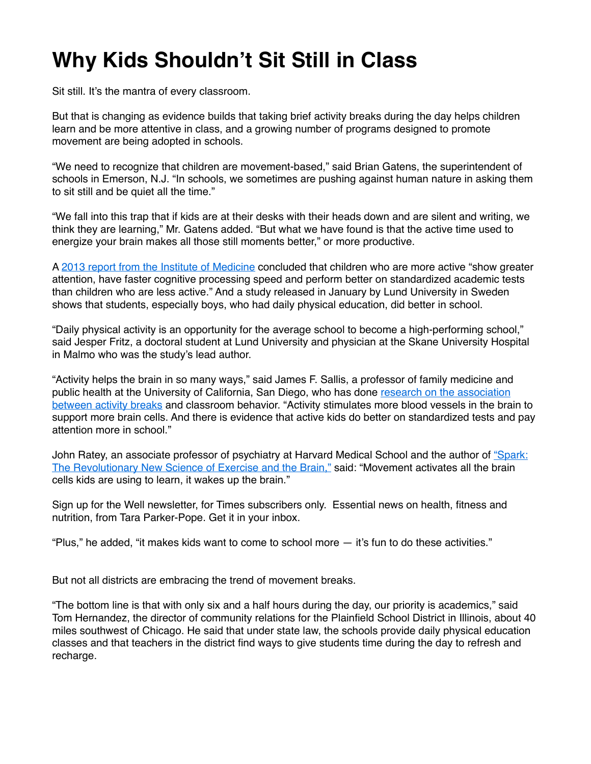## **Why Kids Shouldn't Sit Still in Class**

Sit still. It's the mantra of every classroom.

But that is changing as evidence builds that taking brief activity breaks during the day helps children learn and be more attentive in class, and a growing number of programs designed to promote movement are being adopted in schools.

"We need to recognize that children are movement-based," said Brian Gatens, the superintendent of schools in Emerson, N.J. "In schools, we sometimes are pushing against human nature in asking them to sit still and be quiet all the time."

"We fall into this trap that if kids are at their desks with their heads down and are silent and writing, we think they are learning," Mr. Gatens added. "But what we have found is that the active time used to energize your brain makes all those still moments better," or more productive.

A [2013 report from the Institute of Medicine](http://www.nationalacademies.org/hmd/Reports/2013/Educating-the-Student-Body-Taking-Physical-Activity-and-Physical-Education-to-School/Report-Brief052313.aspx) concluded that children who are more active "show greater attention, have faster cognitive processing speed and perform better on standardized academic tests than children who are less active." And a study released in January by Lund University in Sweden shows that students, especially boys, who had daily physical education, did better in school.

"Daily physical activity is an opportunity for the average school to become a high-performing school," said Jesper Fritz, a doctoral student at Lund University and physician at the Skane University Hospital in Malmo who was the study's lead author.

"Activity helps the brain in so many ways," said James F. Sallis, a professor of family medicine and public health at the University of California, San Diego, who has done research on the association [between activity breaks](https://www.researchgate.net/publication/281166732_Implementing_classroom_physical_activity_breaks_Associations_with_student_physical_activity_and_classroom_behavior) and classroom behavior. "Activity stimulates more blood vessels in the brain to support more brain cells. And there is evidence that active kids do better on standardized tests and pay attention more in school."

John Ratey, an associate professor of psychiatry at Harvard Medical School and the author of ["Spark:](http://thoughtmedicine.com/2010/05/spark-the-revolutionary-new-science-of-exercise-and-the-brain-by-john-j-ratey-md-book-review/)  [The Revolutionary New Science of Exercise and the Brain,"](http://thoughtmedicine.com/2010/05/spark-the-revolutionary-new-science-of-exercise-and-the-brain-by-john-j-ratey-md-book-review/) said: "Movement activates all the brain cells kids are using to learn, it wakes up the brain."

Sign up for the Well newsletter, for Times subscribers only. Essential news on health, fitness and nutrition, from Tara Parker-Pope. Get it in your inbox.

"Plus," he added, "it makes kids want to come to school more — it's fun to do these activities."

But not all districts are embracing the trend of movement breaks.

"The bottom line is that with only six and a half hours during the day, our priority is academics," said Tom Hernandez, the director of community relations for the Plainfield School District in Illinois, about 40 miles southwest of Chicago. He said that under state law, the schools provide daily physical education classes and that teachers in the district find ways to give students time during the day to refresh and recharge.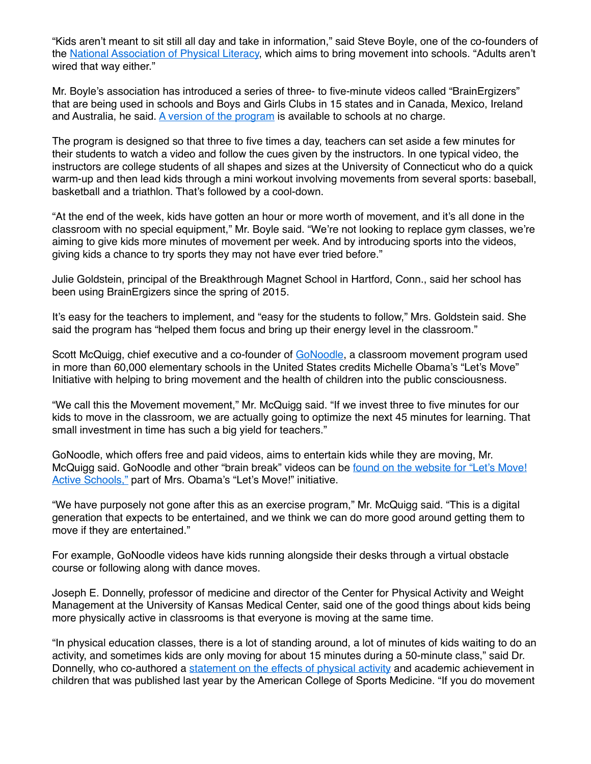"Kids aren't meant to sit still all day and take in information," said Steve Boyle, one of the co-founders of the [National Association of Physical Literacy,](http://naplusa.org/) which aims to bring movement into schools. "Adults aren't wired that way either."

Mr. Boyle's association has introduced a series of three- to five-minute videos called "BrainErgizers" that are being used in schools and Boys and Girls Clubs in 15 states and in Canada, Mexico, Ireland and Australia, he said. [A version of the program](http://naplusa.org/physical-literacy/brainergizers/) is available to schools at no charge.

The program is designed so that three to five times a day, teachers can set aside a few minutes for their students to watch a video and follow the cues given by the instructors. In one typical video, the instructors are college students of all shapes and sizes at the University of Connecticut who do a quick warm-up and then lead kids through a mini workout involving movements from several sports: baseball, basketball and a triathlon. That's followed by a cool-down.

"At the end of the week, kids have gotten an hour or more worth of movement, and it's all done in the classroom with no special equipment," Mr. Boyle said. "We're not looking to replace gym classes, we're aiming to give kids more minutes of movement per week. And by introducing sports into the videos, giving kids a chance to try sports they may not have ever tried before."

Julie Goldstein, principal of the Breakthrough Magnet School in Hartford, Conn., said her school has been using BrainErgizers since the spring of 2015.

It's easy for the teachers to implement, and "easy for the students to follow," Mrs. Goldstein said. She said the program has "helped them focus and bring up their energy level in the classroom."

Scott McQuigg, chief executive and a co-founder of [GoNoodle](https://www.gonoodle.com/), a classroom movement program used in more than 60,000 elementary schools in the United States credits Michelle Obama's "Let's Move" Initiative with helping to bring movement and the health of children into the public consciousness.

"We call this the Movement movement," Mr. McQuigg said. "If we invest three to five minutes for our kids to move in the classroom, we are actually going to optimize the next 45 minutes for learning. That small investment in time has such a big yield for teachers."

GoNoodle, which offers free and paid videos, aims to entertain kids while they are moving, Mr. McQuigg said. GoNoodle and other "brain break" videos can be [found on the website for "Let's Move!](http://www.letsmoveschools.org/)  [Active Schools,"](http://www.letsmoveschools.org/) part of Mrs. Obama's "Let's Move!" initiative.

"We have purposely not gone after this as an exercise program," Mr. McQuigg said. "This is a digital generation that expects to be entertained, and we think we can do more good around getting them to move if they are entertained."

For example, GoNoodle videos have kids running alongside their desks through a virtual obstacle course or following along with dance moves.

Joseph E. Donnelly, professor of medicine and director of the Center for Physical Activity and Weight Management at the University of Kansas Medical Center, said one of the good things about kids being more physically active in classrooms is that everyone is moving at the same time.

"In physical education classes, there is a lot of standing around, a lot of minutes of kids waiting to do an activity, and sometimes kids are only moving for about 15 minutes during a 50-minute class," said Dr. Donnelly, who co-authored a [statement on the effects of physical activity](https://www.ncbi.nlm.nih.gov/pubmed/27182986) and academic achievement in children that was published last year by the American College of Sports Medicine. "If you do movement